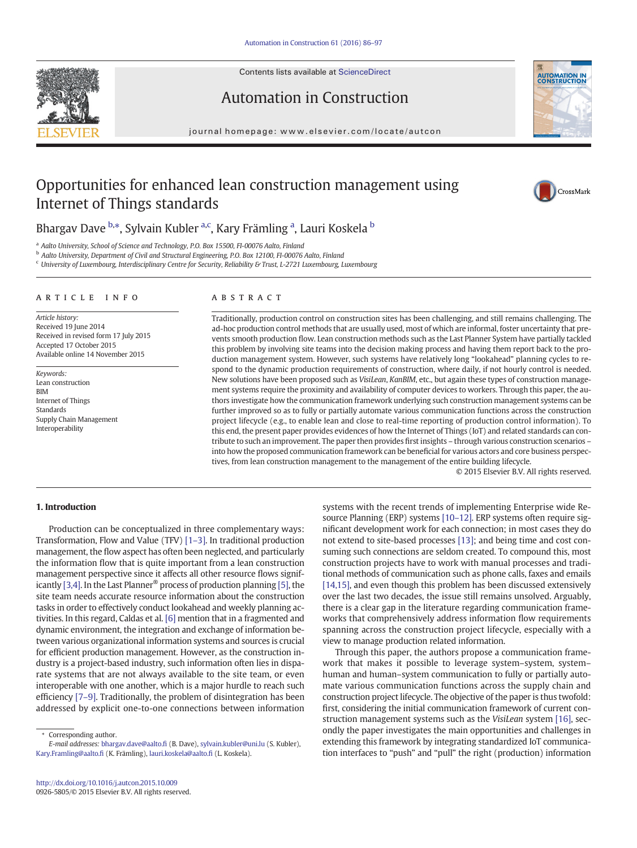

Contents lists available at ScienceDirect

# Automation in Construction

journal homepage: www.elsevier.com/locate/autcon



# Opportunities for enhanced lean construction management using Internet of Things standards



Bhargav Dave b.\*, Sylvain Kubler <sup>a,c</sup>, Kary Främling <sup>a</sup>, Lauri Koskela <sup>b</sup>

<sup>a</sup> Aalto University, School of Science and Technology, P.O. Box 15500, FI-00076 Aalto, Finland

<sup>b</sup> Aalto University, Department of Civil and Structural Engineering, P.O. Box 12100, FI-00076 Aalto, Finland

<sup>c</sup> University of Luxembourg, Interdisciplinary Centre for Security, Reliability & Trust, L-2721 Luxembourg, Luxembourg

### article info abstract

Article history: Received 19 June 2014 Received in revised form 17 July 2015 Accepted 17 October 2015 Available online 14 November 2015

Keywords: Lean construction BIM Internet of Things Standards Supply Chain Management Interoperability

Traditionally, production control on construction sites has been challenging, and still remains challenging. The ad-hoc production control methods that are usually used, most of which are informal, foster uncertainty that prevents smooth production flow. Lean construction methods such as the Last Planner System have partially tackled this problem by involving site teams into the decision making process and having them report back to the production management system. However, such systems have relatively long "lookahead" planning cycles to respond to the dynamic production requirements of construction, where daily, if not hourly control is needed. New solutions have been proposed such as VisiLean, KanBIM, etc., but again these types of construction management systems require the proximity and availability of computer devices to workers. Through this paper, the authors investigate how the communication framework underlying such construction management systems can be further improved so as to fully or partially automate various communication functions across the construction project lifecycle (e.g., to enable lean and close to real-time reporting of production control information). To this end, the present paper provides evidences of how the Internet of Things (IoT) and related standards can contribute to such an improvement. The paper then provides first insights – through various construction scenarios – into how the proposed communication framework can be beneficial for various actors and core business perspectives, from lean construction management to the management of the entire building lifecycle.

© 2015 Elsevier B.V. All rights reserved.

# 1. Introduction

Production can be conceptualized in three complementary ways: Transformation, Flow and Value (TFV) [\[1](#page--1-0)–3]. In traditional production management, the flow aspect has often been neglected, and particularly the information flow that is quite important from a lean construction management perspective since it affects all other resource flows significantly [\[3,4\]](#page--1-0). In the Last Planner® process of production planning [\[5\],](#page--1-0) the site team needs accurate resource information about the construction tasks in order to effectively conduct lookahead and weekly planning activities. In this regard, Caldas et al. [\[6\]](#page--1-0) mention that in a fragmented and dynamic environment, the integration and exchange of information between various organizational information systems and sources is crucial for efficient production management. However, as the construction industry is a project-based industry, such information often lies in disparate systems that are not always available to the site team, or even interoperable with one another, which is a major hurdle to reach such efficiency [7–[9\].](#page--1-0) Traditionally, the problem of disintegration has been addressed by explicit one-to-one connections between information

⁎ Corresponding author.

systems with the recent trends of implementing Enterprise wide Resource Planning (ERP) systems [\[10](#page--1-0)–12]. ERP systems often require significant development work for each connection; in most cases they do not extend to site-based processes [\[13\];](#page--1-0) and being time and cost consuming such connections are seldom created. To compound this, most construction projects have to work with manual processes and traditional methods of communication such as phone calls, faxes and emails [\[14,15\],](#page--1-0) and even though this problem has been discussed extensively over the last two decades, the issue still remains unsolved. Arguably, there is a clear gap in the literature regarding communication frameworks that comprehensively address information flow requirements spanning across the construction project lifecycle, especially with a view to manage production related information.

Through this paper, the authors propose a communication framework that makes it possible to leverage system–system, system– human and human–system communication to fully or partially automate various communication functions across the supply chain and construction project lifecycle. The objective of the paper is thus twofold: first, considering the initial communication framework of current construction management systems such as the VisiLean system [\[16\]](#page--1-0), secondly the paper investigates the main opportunities and challenges in extending this framework by integrating standardized IoT communication interfaces to "push" and "pull" the right (production) information

E-mail addresses: bhargav.dave@aalto.fi (B. Dave), sylvain.kubler@uni.lu (S. Kubler), Kary.Framling@aalto.fi (K. Främling), [lauri.koskela@aalto.](mailto:lauri.koskela@aalto.fi)fi (L. Koskela).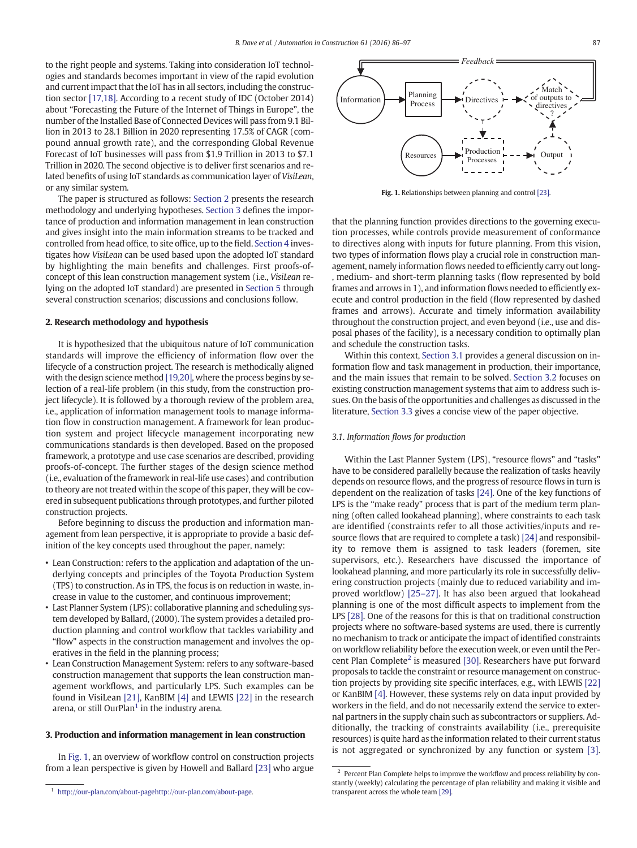to the right people and systems. Taking into consideration IoT technologies and standards becomes important in view of the rapid evolution and current impact that the IoT has in all sectors, including the construction sector [\[17,18\]](#page--1-0). According to a recent study of IDC (October 2014) about "Forecasting the Future of the Internet of Things in Europe", the number of the Installed Base of Connected Devices will pass from 9.1 Billion in 2013 to 28.1 Billion in 2020 representing 17.5% of CAGR (compound annual growth rate), and the corresponding Global Revenue Forecast of IoT businesses will pass from \$1.9 Trillion in 2013 to \$7.1 Trillion in 2020. The second objective is to deliver first scenarios and related benefits of using IoT standards as communication layer of VisiLean, or any similar system.

The paper is structured as follows: Section 2 presents the research methodology and underlying hypotheses. Section 3 defines the importance of production and information management in lean construction and gives insight into the main information streams to be tracked and controlled from head office, to site office, up to the field. [Section 4](#page--1-0) investigates how VisiLean can be used based upon the adopted IoT standard by highlighting the main benefits and challenges. First proofs-ofconcept of this lean construction management system (i.e., VisiLean relying on the adopted IoT standard) are presented in [Section 5](#page--1-0) through several construction scenarios; discussions and conclusions follow.

## 2. Research methodology and hypothesis

It is hypothesized that the ubiquitous nature of IoT communication standards will improve the efficiency of information flow over the lifecycle of a construction project. The research is methodically aligned with the design science method [\[19,20\],](#page--1-0) where the process begins by selection of a real-life problem (in this study, from the construction project lifecycle). It is followed by a thorough review of the problem area, i.e., application of information management tools to manage information flow in construction management. A framework for lean production system and project lifecycle management incorporating new communications standards is then developed. Based on the proposed framework, a prototype and use case scenarios are described, providing proofs-of-concept. The further stages of the design science method (i.e., evaluation of the framework in real-life use cases) and contribution to theory are not treated within the scope of this paper, they will be covered in subsequent publications through prototypes, and further piloted construction projects.

Before beginning to discuss the production and information management from lean perspective, it is appropriate to provide a basic definition of the key concepts used throughout the paper, namely:

- Lean Construction: refers to the application and adaptation of the underlying concepts and principles of the Toyota Production System (TPS) to construction. As in TPS, the focus is on reduction in waste, increase in value to the customer, and continuous improvement;
- Last Planner System (LPS): collaborative planning and scheduling system developed by Ballard, (2000). The system provides a detailed production planning and control workflow that tackles variability and "flow" aspects in the construction management and involves the operatives in the field in the planning process;
- Lean Construction Management System: refers to any software-based construction management that supports the lean construction management workflows, and particularly LPS. Such examples can be found in VisiLean [\[21\],](#page--1-0) KanBIM [\[4\]](#page--1-0) and LEWIS [\[22\]](#page--1-0) in the research arena, or still OurPlan<sup>1</sup> in the industry arena.

## 3. Production and information management in lean construction

In Fig. 1, an overview of workflow control on construction projects from a lean perspective is given by Howell and Ballard [\[23\]](#page--1-0) who argue



Fig. 1. Relationships between planning and control [\[23\].](#page--1-0)

that the planning function provides directions to the governing execution processes, while controls provide measurement of conformance to directives along with inputs for future planning. From this vision, two types of information flows play a crucial role in construction management, namely information flows needed to efficiently carry out long- , medium- and short-term planning tasks (flow represented by bold frames and arrows in 1), and information flows needed to efficiently execute and control production in the field (flow represented by dashed frames and arrows). Accurate and timely information availability throughout the construction project, and even beyond (i.e., use and disposal phases of the facility), is a necessary condition to optimally plan and schedule the construction tasks.

Within this context, Section 3.1 provides a general discussion on information flow and task management in production, their importance, and the main issues that remain to be solved. [Section 3.2](#page--1-0) focuses on existing construction management systems that aim to address such issues. On the basis of the opportunities and challenges as discussed in the literature, [Section 3.3](#page--1-0) gives a concise view of the paper objective.

## 3.1. Information flows for production

Within the Last Planner System (LPS), "resource flows" and "tasks" have to be considered parallelly because the realization of tasks heavily depends on resource flows, and the progress of resource flows in turn is dependent on the realization of tasks [\[24\].](#page--1-0) One of the key functions of LPS is the "make ready" process that is part of the medium term planning (often called lookahead planning), where constraints to each task are identified (constraints refer to all those activities/inputs and resource flows that are required to complete a task) [\[24\]](#page--1-0) and responsibility to remove them is assigned to task leaders (foremen, site supervisors, etc.). Researchers have discussed the importance of lookahead planning, and more particularly its role in successfully delivering construction projects (mainly due to reduced variability and improved workflow) [\[25](#page--1-0)–27]. It has also been argued that lookahead planning is one of the most difficult aspects to implement from the LPS [\[28\].](#page--1-0) One of the reasons for this is that on traditional construction projects where no software-based systems are used, there is currently no mechanism to track or anticipate the impact of identified constraints on workflow reliability before the execution week, or even until the Per-cent Plan Complete<sup>2</sup> is measured [\[30\]](#page--1-0). Researchers have put forward proposals to tackle the constraint or resource management on construction projects by providing site specific interfaces, e.g., with LEWIS [\[22\]](#page--1-0) or KanBIM [\[4\]](#page--1-0). However, these systems rely on data input provided by workers in the field, and do not necessarily extend the service to external partners in the supply chain such as subcontractors or suppliers. Additionally, the tracking of constraints availability (i.e., prerequisite resources) is quite hard as the information related to their current status is not aggregated or synchronized by any function or system [\[3\].](#page--1-0)

<sup>1</sup> [http://our-plan.com/about-pagehttp://our-plan.com/about-page](http://dx.doi.org/10.1016/j.pmcj.2014.09.005).

<sup>&</sup>lt;sup>2</sup> Percent Plan Complete helps to improve the workflow and process reliability by constantly (weekly) calculating the percentage of plan reliability and making it visible and transparent across the whole team [\[29\].](#page--1-0)